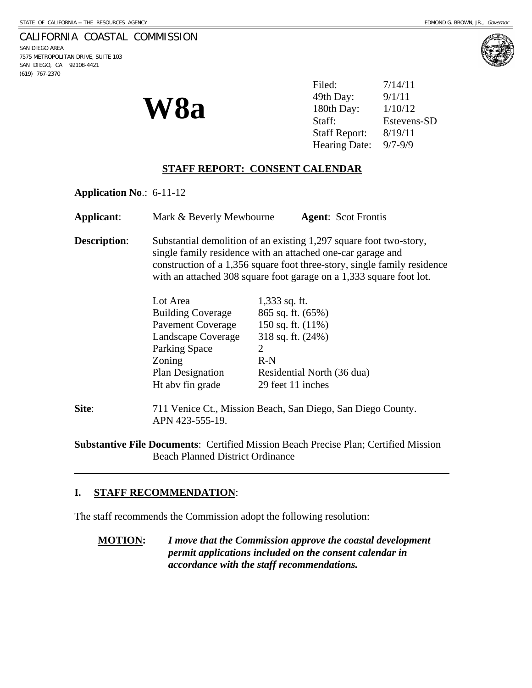## CALIFORNIA COASTAL COMMISSION

SAN DIEGO AREA 7575 METROPOLITAN DRIVE, SUITE 103 SAN DIEGO, CA 92108-4421 (619) 767-2370





Filed: 7/14/11 49th Day:

> Estevens-SD Staff Report: 8/19/11 Hearing Date: 9/7-9/9

## **STAFF REPORT: CONSENT CALENDAR**

**Application No**.: 6-11-12

**Applicant**: Mark & Beverly Mewbourne **Agent**: Scot Frontis

**Description:** Substantial demolition of an existing 1,297 square foot two-story, single family residence with an attached one-car garage and construction of a 1,356 square foot three-story, single family residence with an attached 308 square foot garage on a 1,333 square foot lot.

| Lot Area                 | $1,333$ sq. ft.            |
|--------------------------|----------------------------|
| <b>Building Coverage</b> | 865 sq. ft. (65%)          |
| <b>Pavement Coverage</b> | 150 sq. ft. $(11\%)$       |
| Landscape Coverage       | 318 sq. ft. (24%)          |
| Parking Space            |                            |
| Zoning                   | $R-N$                      |
| <b>Plan Designation</b>  | Residential North (36 dua) |
| Ht abv fin grade         | 29 feet 11 inches          |
|                          |                            |

**Site**: 711 Venice Ct., Mission Beach, San Diego, San Diego County. APN 423-555-19.

**Substantive File Documents**: Certified Mission Beach Precise Plan; Certified Mission Beach Planned District Ordinance

## **I. STAFF RECOMMENDATION**:

l

The staff recommends the Commission adopt the following resolution:

**MOTION:** *I move that the Commission approve the coastal development permit applications included on the consent calendar in accordance with the staff recommendations.*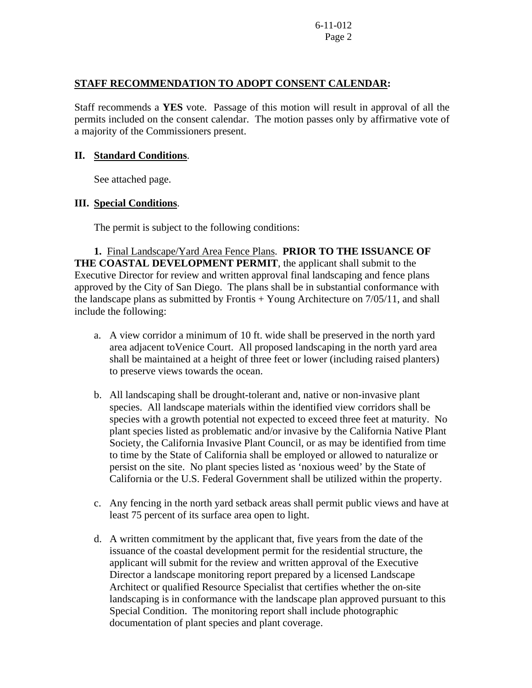## **STAFF RECOMMENDATION TO ADOPT CONSENT CALENDAR:**

Staff recommends a **YES** vote. Passage of this motion will result in approval of all the permits included on the consent calendar. The motion passes only by affirmative vote of a majority of the Commissioners present.

### **II. Standard Conditions**.

See attached page.

## **III. Special Conditions**.

The permit is subject to the following conditions:

**1.** Final Landscape/Yard Area Fence Plans. **PRIOR TO THE ISSUANCE OF THE COASTAL DEVELOPMENT PERMIT**, the applicant shall submit to the Executive Director for review and written approval final landscaping and fence plans approved by the City of San Diego. The plans shall be in substantial conformance with the landscape plans as submitted by Frontis  $+$  Young Architecture on  $7/05/11$ , and shall include the following:

- a. A view corridor a minimum of 10 ft. wide shall be preserved in the north yard area adjacent toVenice Court. All proposed landscaping in the north yard area shall be maintained at a height of three feet or lower (including raised planters) to preserve views towards the ocean.
- b. All landscaping shall be drought-tolerant and, native or non-invasive plant species. All landscape materials within the identified view corridors shall be species with a growth potential not expected to exceed three feet at maturity. No plant species listed as problematic and/or invasive by the California Native Plant Society, the California Invasive Plant Council, or as may be identified from time to time by the State of California shall be employed or allowed to naturalize or persist on the site. No plant species listed as 'noxious weed' by the State of California or the U.S. Federal Government shall be utilized within the property.
- c. Any fencing in the north yard setback areas shall permit public views and have at least 75 percent of its surface area open to light.
- d. A written commitment by the applicant that, five years from the date of the issuance of the coastal development permit for the residential structure, the applicant will submit for the review and written approval of the Executive Director a landscape monitoring report prepared by a licensed Landscape Architect or qualified Resource Specialist that certifies whether the on-site landscaping is in conformance with the landscape plan approved pursuant to this Special Condition. The monitoring report shall include photographic documentation of plant species and plant coverage.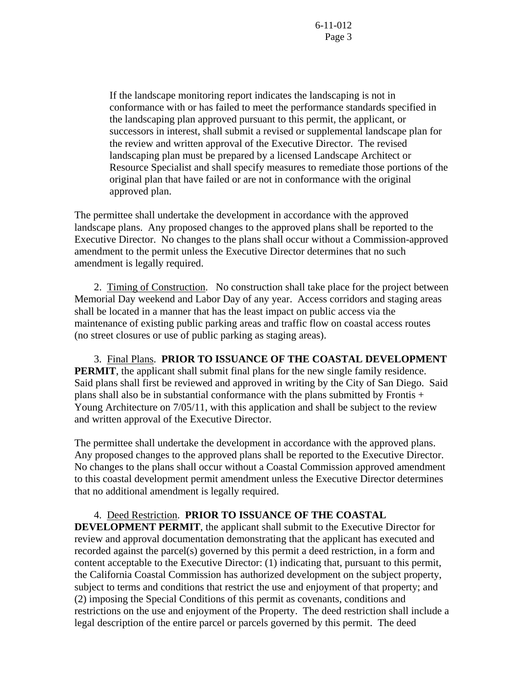If the landscape monitoring report indicates the landscaping is not in conformance with or has failed to meet the performance standards specified in the landscaping plan approved pursuant to this permit, the applicant, or successors in interest, shall submit a revised or supplemental landscape plan for the review and written approval of the Executive Director. The revised landscaping plan must be prepared by a licensed Landscape Architect or Resource Specialist and shall specify measures to remediate those portions of the original plan that have failed or are not in conformance with the original approved plan.

The permittee shall undertake the development in accordance with the approved landscape plans. Any proposed changes to the approved plans shall be reported to the Executive Director. No changes to the plans shall occur without a Commission-approved amendment to the permit unless the Executive Director determines that no such amendment is legally required.

 2. Timing of Construction.No construction shall take place for the project between Memorial Day weekend and Labor Day of any year. Access corridors and staging areas shall be located in a manner that has the least impact on public access via the maintenance of existing public parking areas and traffic flow on coastal access routes (no street closures or use of public parking as staging areas).

 3. Final Plans. **PRIOR TO ISSUANCE OF THE COASTAL DEVELOPMENT PERMIT**, the applicant shall submit final plans for the new single family residence. Said plans shall first be reviewed and approved in writing by the City of San Diego. Said plans shall also be in substantial conformance with the plans submitted by Frontis + Young Architecture on 7/05/11, with this application and shall be subject to the review and written approval of the Executive Director.

The permittee shall undertake the development in accordance with the approved plans. Any proposed changes to the approved plans shall be reported to the Executive Director. No changes to the plans shall occur without a Coastal Commission approved amendment to this coastal development permit amendment unless the Executive Director determines that no additional amendment is legally required.

#### 4.Deed Restriction. **PRIOR TO ISSUANCE OF THE COASTAL**

**DEVELOPMENT PERMIT**, the applicant shall submit to the Executive Director for review and approval documentation demonstrating that the applicant has executed and recorded against the parcel(s) governed by this permit a deed restriction, in a form and content acceptable to the Executive Director: (1) indicating that, pursuant to this permit, the California Coastal Commission has authorized development on the subject property, subject to terms and conditions that restrict the use and enjoyment of that property; and (2) imposing the Special Conditions of this permit as covenants, conditions and restrictions on the use and enjoyment of the Property. The deed restriction shall include a legal description of the entire parcel or parcels governed by this permit. The deed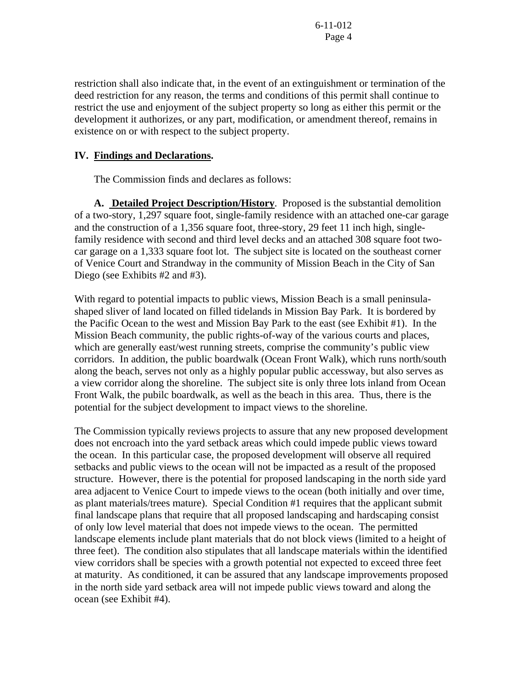restriction shall also indicate that, in the event of an extinguishment or termination of the deed restriction for any reason, the terms and conditions of this permit shall continue to restrict the use and enjoyment of the subject property so long as either this permit or the development it authorizes, or any part, modification, or amendment thereof, remains in existence on or with respect to the subject property.

## **IV. Findings and Declarations.**

The Commission finds and declares as follows:

**A. Detailed Project Description/History**. Proposed is the substantial demolition of a two-story, 1,297 square foot, single-family residence with an attached one-car garage and the construction of a 1,356 square foot, three-story, 29 feet 11 inch high, singlefamily residence with second and third level decks and an attached 308 square foot twocar garage on a 1,333 square foot lot. The subject site is located on the southeast corner of Venice Court and Strandway in the community of Mission Beach in the City of San Diego (see Exhibits #2 and #3).

With regard to potential impacts to public views, Mission Beach is a small peninsulashaped sliver of land located on filled tidelands in Mission Bay Park. It is bordered by the Pacific Ocean to the west and Mission Bay Park to the east (see Exhibit #1). In the Mission Beach community, the public rights-of-way of the various courts and places, which are generally east/west running streets, comprise the community's public view corridors. In addition, the public boardwalk (Ocean Front Walk), which runs north/south along the beach, serves not only as a highly popular public accessway, but also serves as a view corridor along the shoreline. The subject site is only three lots inland from Ocean Front Walk, the pubilc boardwalk, as well as the beach in this area. Thus, there is the potential for the subject development to impact views to the shoreline.

The Commission typically reviews projects to assure that any new proposed development does not encroach into the yard setback areas which could impede public views toward the ocean. In this particular case, the proposed development will observe all required setbacks and public views to the ocean will not be impacted as a result of the proposed structure. However, there is the potential for proposed landscaping in the north side yard area adjacent to Venice Court to impede views to the ocean (both initially and over time, as plant materials/trees mature). Special Condition #1 requires that the applicant submit final landscape plans that require that all proposed landscaping and hardscaping consist of only low level material that does not impede views to the ocean. The permitted landscape elements include plant materials that do not block views (limited to a height of three feet). The condition also stipulates that all landscape materials within the identified view corridors shall be species with a growth potential not expected to exceed three feet at maturity. As conditioned, it can be assured that any landscape improvements proposed in the north side yard setback area will not impede public views toward and along the ocean (see Exhibit #4).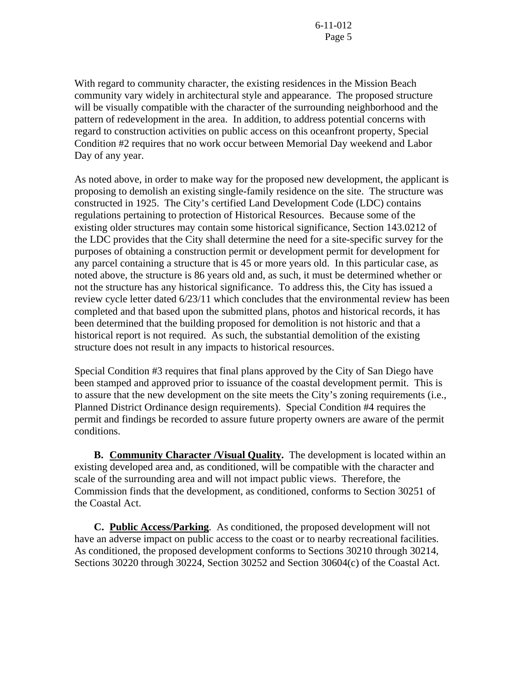With regard to community character, the existing residences in the Mission Beach community vary widely in architectural style and appearance. The proposed structure will be visually compatible with the character of the surrounding neighborhood and the pattern of redevelopment in the area. In addition, to address potential concerns with regard to construction activities on public access on this oceanfront property, Special Condition #2 requires that no work occur between Memorial Day weekend and Labor Day of any year.

As noted above, in order to make way for the proposed new development, the applicant is proposing to demolish an existing single-family residence on the site. The structure was constructed in 1925. The City's certified Land Development Code (LDC) contains regulations pertaining to protection of Historical Resources. Because some of the existing older structures may contain some historical significance, Section 143.0212 of the LDC provides that the City shall determine the need for a site-specific survey for the purposes of obtaining a construction permit or development permit for development for any parcel containing a structure that is 45 or more years old. In this particular case, as noted above, the structure is 86 years old and, as such, it must be determined whether or not the structure has any historical significance. To address this, the City has issued a review cycle letter dated 6/23/11 which concludes that the environmental review has been completed and that based upon the submitted plans, photos and historical records, it has been determined that the building proposed for demolition is not historic and that a historical report is not required. As such, the substantial demolition of the existing structure does not result in any impacts to historical resources.

Special Condition #3 requires that final plans approved by the City of San Diego have been stamped and approved prior to issuance of the coastal development permit. This is to assure that the new development on the site meets the City's zoning requirements (i.e., Planned District Ordinance design requirements). Special Condition #4 requires the permit and findings be recorded to assure future property owners are aware of the permit conditions.

 **B. Community Character /Visual Quality.** The development is located within an existing developed area and, as conditioned, will be compatible with the character and scale of the surrounding area and will not impact public views. Therefore, the Commission finds that the development, as conditioned, conforms to Section 30251 of the Coastal Act.

**C. Public Access/Parking**. As conditioned, the proposed development will not have an adverse impact on public access to the coast or to nearby recreational facilities. As conditioned, the proposed development conforms to Sections 30210 through 30214, Sections 30220 through 30224, Section 30252 and Section 30604(c) of the Coastal Act.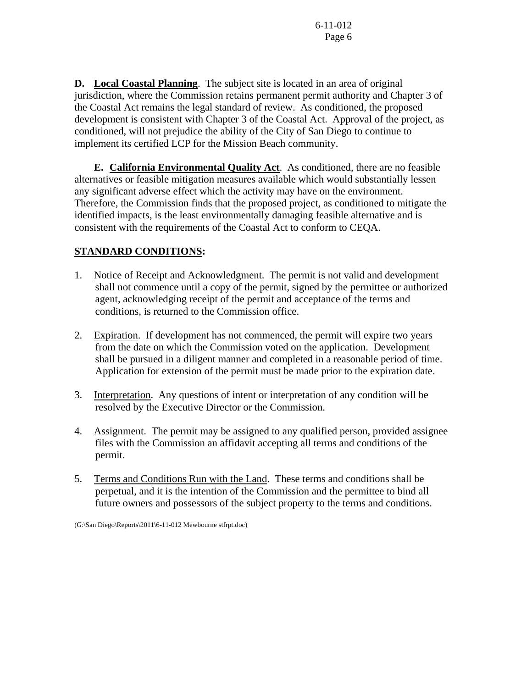**D. Local Coastal Planning**. The subject site is located in an area of original jurisdiction, where the Commission retains permanent permit authority and Chapter 3 of the Coastal Act remains the legal standard of review. As conditioned, the proposed development is consistent with Chapter 3 of the Coastal Act. Approval of the project, as conditioned, will not prejudice the ability of the City of San Diego to continue to implement its certified LCP for the Mission Beach community.

 **E. California Environmental Quality Act**. As conditioned, there are no feasible alternatives or feasible mitigation measures available which would substantially lessen any significant adverse effect which the activity may have on the environment. Therefore, the Commission finds that the proposed project, as conditioned to mitigate the identified impacts, is the least environmentally damaging feasible alternative and is consistent with the requirements of the Coastal Act to conform to CEQA.

# **STANDARD CONDITIONS:**

- 1. Notice of Receipt and Acknowledgment. The permit is not valid and development shall not commence until a copy of the permit, signed by the permittee or authorized agent, acknowledging receipt of the permit and acceptance of the terms and conditions, is returned to the Commission office.
- 2. Expiration. If development has not commenced, the permit will expire two years from the date on which the Commission voted on the application. Development shall be pursued in a diligent manner and completed in a reasonable period of time. Application for extension of the permit must be made prior to the expiration date.
- 3. Interpretation. Any questions of intent or interpretation of any condition will be resolved by the Executive Director or the Commission.
- 4. Assignment. The permit may be assigned to any qualified person, provided assignee files with the Commission an affidavit accepting all terms and conditions of the permit.
- 5. Terms and Conditions Run with the Land. These terms and conditions shall be perpetual, and it is the intention of the Commission and the permittee to bind all future owners and possessors of the subject property to the terms and conditions.

(G:\San Diego\Reports\2011\6-11-012 Mewbourne stfrpt.doc)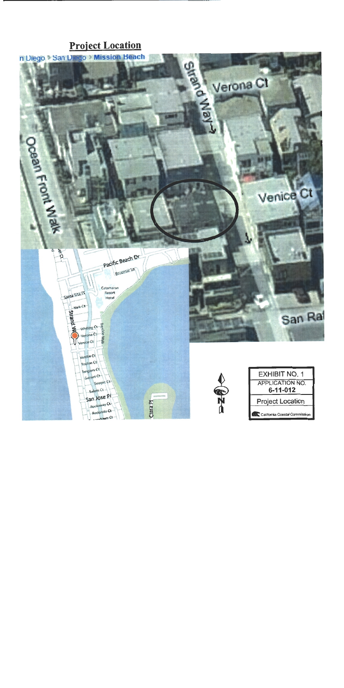# **Project Location**

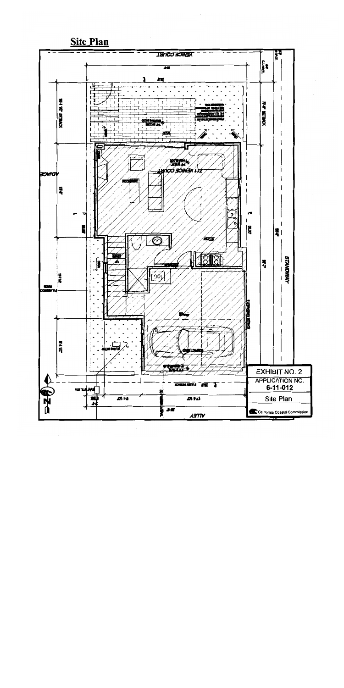

**Site Plan**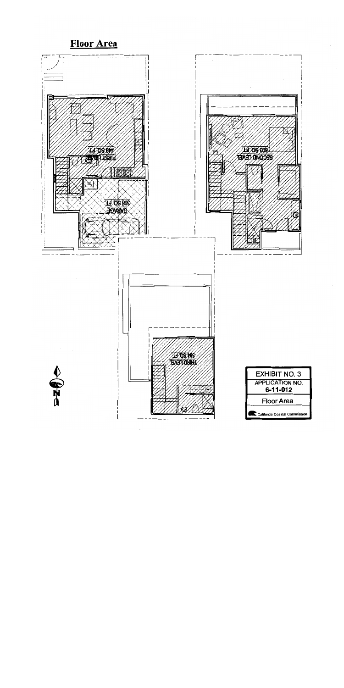